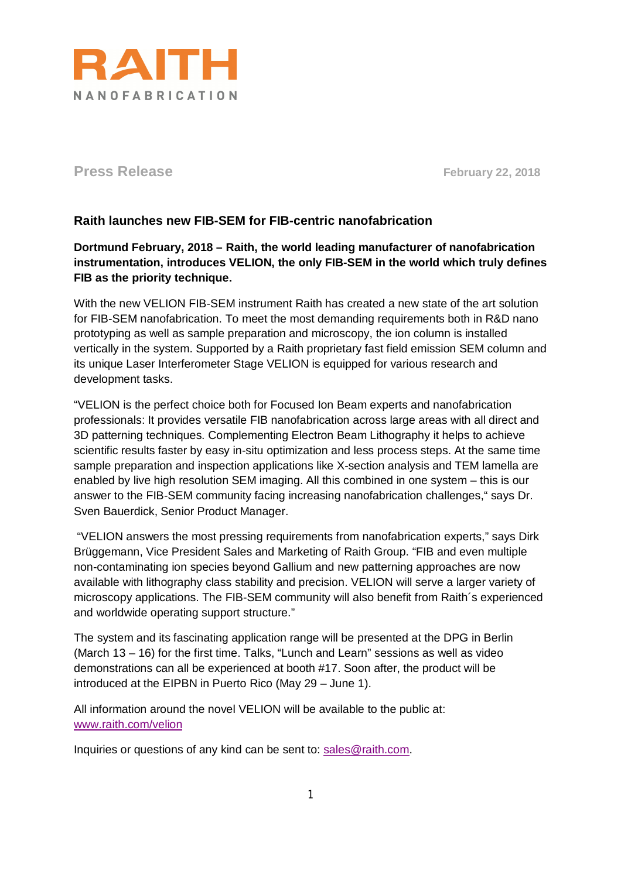

**Press Release February 22, 2018** 

## **Raith launches new FIB-SEM for FIB-centric nanofabrication**

**Dortmund February, 2018 – Raith, the world leading manufacturer of nanofabrication instrumentation, introduces VELION, the only FIB-SEM in the world which truly defines FIB as the priority technique.**

With the new VELION FIB-SEM instrument Raith has created a new state of the art solution for FIB-SEM nanofabrication. To meet the most demanding requirements both in R&D nano prototyping as well as sample preparation and microscopy, the ion column is installed vertically in the system. Supported by a Raith proprietary fast field emission SEM column and its unique Laser Interferometer Stage VELION is equipped for various research and development tasks.

"VELION is the perfect choice both for Focused Ion Beam experts and nanofabrication professionals: It provides versatile FIB nanofabrication across large areas with all direct and 3D patterning techniques. Complementing Electron Beam Lithography it helps to achieve scientific results faster by easy in-situ optimization and less process steps. At the same time sample preparation and inspection applications like X-section analysis and TEM lamella are enabled by live high resolution SEM imaging. All this combined in one system – this is our answer to the FIB-SEM community facing increasing nanofabrication challenges," says Dr. Sven Bauerdick, Senior Product Manager.

"VELION answers the most pressing requirements from nanofabrication experts," says Dirk Brüggemann, Vice President Sales and Marketing of Raith Group. "FIB and even multiple non-contaminating ion species beyond Gallium and new patterning approaches are now available with lithography class stability and precision. VELION will serve a larger variety of microscopy applications. The FIB-SEM community will also benefit from Raith´s experienced and worldwide operating support structure."

The system and its fascinating application range will be presented at the DPG in Berlin (March 13 – 16) for the first time. Talks, "Lunch and Learn" sessions as well as video demonstrations can all be experienced at booth #17. Soon after, the product will be introduced at the EIPBN in Puerto Rico (May 29 – June 1).

All information around the novel VELION will be available to the public at: [www.raith.com/velion](http://www.raith.com/velion)

Inquiries or questions of any kind can be sent to: [sales@raith.com.](mailto:sales@raith.com)